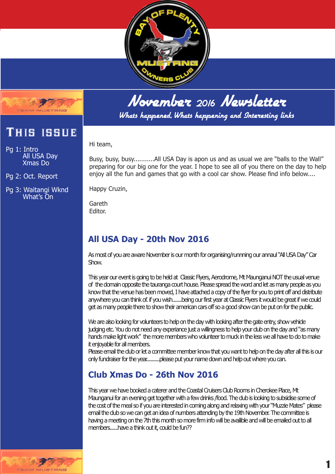



Whats happened, Whats happening and Interesting links

Hi team,

Pg 1: Intro All USA Day Xmas Do

This issue

Pg 2: Oct. Report

Pg 3: Waitangi Wknd What's On

Busy, busy, busy...........All USA Day is apon us and as usual we are "balls to the Wall" preparing for our big one for the year. I hope to see all of you there on the day to help enjoy all the fun and games that go with a cool car show. Please find info below....

Happy Cruzin,

Gareth Editor.

# **All USA Day - 20th Nov 2016**

As most of you are aware November is our month for organising/runnning our annaul "All USA Day" Car Show.

This year our event is going to be held at Classic Flyers, Aerodrome, Mt Maunganui NOT the usual venue of the domain opposite the tauranga court house. Please spread the word and let as many people as you know that the venue has been moved, I have attached a copy of the flyer for you to print off and distribute anywhere you can think of. if you wish.......being our first year at Classic Flyers it would be great if we could get as many people there to show their american cars off so a good show can be put on for the public.

We are also looking for volunteers to help on the day with looking after the gate entry, show vehide judging etc. You do not need any experiance just a willingness to help your club on the day and "as many hands make light work" the more members who volunteer to muck in the less we all have to do to make it enjoyable for all members.

Please email the club or let a committee member know that you want to help on the day after all this is our only fundraiser for the year..........please put your name down and help out where you can.

## **Club Xmas Do - 26th Nov 2016**

This year we have booked a caterer and the Coastal Cruisers Club Rooms in Cherokee Place, Mt Maunganui for an evening get together with a few drinks /food. The club is looking to subsidise some of the cost of the meal so if you are interested in coming along and relaxing with your "Muzzie Mates" please email the club so we can get an idea of numbers attending by the 19th November. The committee is having a meeting on the 7th this month so more firm info will be availible and will be emailed out to all members......have a think out it, could be fun??

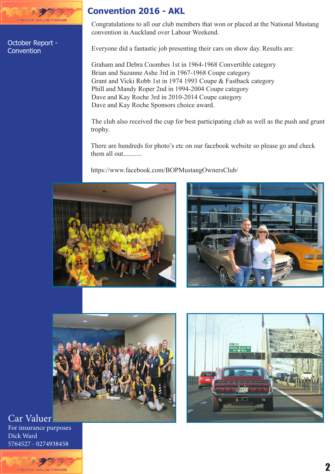

October Report - **Convention** 

### **Convention 2016 - AKL**

Congratulations to all our club members that won or placed at the National Mustang convention in Auckland over Labour Weekend.

Everyone did a fantastic job presenting their cars on show day. Results are:

Graham and Debra Coombes 1st in 1964-1968 Convertible category Brian and Suzanne Ashe 3rd in 1967-1968 Coupe category Grant and Vicki Robb 1st in 1974 1993 Coupe & Fastback category Phill and Mandy Roper 2nd in 1994-2004 Coupe category Dave and Kay Roche 3rd in 2010-2014 Coupe category Dave and Kay Roche Sponsors choice award.

The club also received the cup for best participating club as well as the push and grunt trophy.

There are hundreds for photo's etc on our facebook website so please go and check them all out..........

https://www.facebook.com/BOPMustangOwnersClub/









Car Valuer For insurance purposes Dick Ward 5764527 - 0274938458